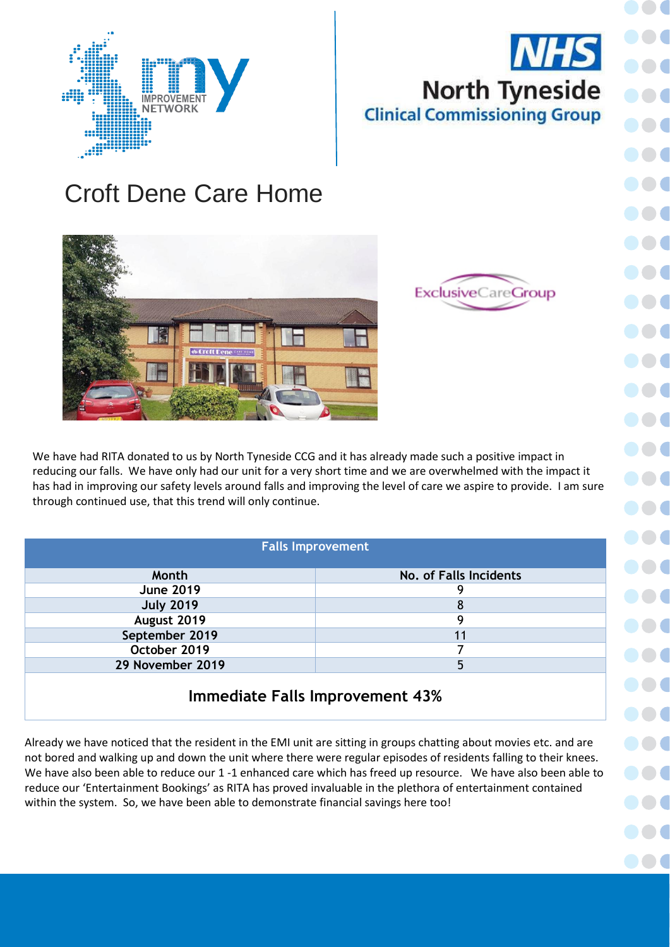## **NHS North Tyneside Clinical Commissioning Group**

## Croft Dene Care Home





We have had RITA donated to us by North Tyneside CCG and it has already made such a positive impact in reducing our falls. We have only had our unit for a very short time and we are overwhelmed with the impact it has had in improving our safety levels around falls and improving the level of care we aspire to provide. I am sure through continued use, that this trend will only continue.

| <b>Falls Improvement</b>               |                        |  |
|----------------------------------------|------------------------|--|
| Month                                  | No. of Falls Incidents |  |
| <b>June 2019</b>                       | 9                      |  |
| <b>July 2019</b>                       | 8                      |  |
| August 2019                            | 9                      |  |
| September 2019                         | 11                     |  |
| October 2019                           |                        |  |
| 29 November 2019                       | 5                      |  |
| <b>Immediate Falls Improvement 43%</b> |                        |  |

Already we have noticed that the resident in the EMI unit are sitting in groups chatting about movies etc. and are not bored and walking up and down the unit where there were regular episodes of residents falling to their knees. We have also been able to reduce our 1 -1 enhanced care which has freed up resource. We have also been able to reduce our 'Entertainment Bookings' as RITA has proved invaluable in the plethora of entertainment contained within the system. So, we have been able to demonstrate financial savings here too!